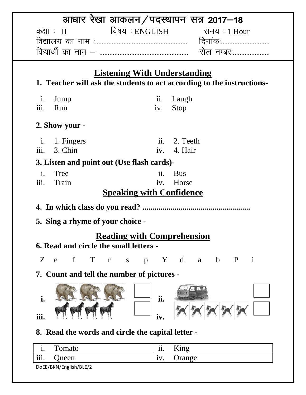|                                                            |                                     | आधार रेखा आकलन/पदस्थापन सत्र 2017–18                                   |
|------------------------------------------------------------|-------------------------------------|------------------------------------------------------------------------|
| कक्षाः $\text{II}$                                         | विषय : ENGLISH                      | समय : 1 Hour                                                           |
|                                                            |                                     |                                                                        |
|                                                            |                                     |                                                                        |
|                                                            | <b>Listening With Understanding</b> |                                                                        |
|                                                            |                                     | 1. Teacher will ask the students to act according to the instructions- |
| $\mathbf{i}$ .<br>Jump                                     | Laugh<br>$\overline{\mathbf{11}}$ . |                                                                        |
| iii.<br>Run                                                | Stop<br>iv.                         |                                                                        |
| 2. Show your -                                             |                                     |                                                                        |
| i. 1. Fingers                                              | ii. 2. Teeth                        |                                                                        |
| iii.<br>3. Chin                                            | iv. 4. Hair                         |                                                                        |
| 3. Listen and point out (Use flash cards)-                 |                                     |                                                                        |
| $\mathbf{i}$ .<br>Tree                                     | ii.<br><b>Bus</b>                   |                                                                        |
| iii.<br>Train                                              | iv.                                 | Horse                                                                  |
|                                                            | <b>Speaking with Confidence</b>     |                                                                        |
|                                                            |                                     |                                                                        |
| 5. Sing a rhyme of your choice -                           |                                     |                                                                        |
| <b>6. Read and circle the small letters -</b>              | <b>Reading with Comprehension</b>   |                                                                        |
| $Z_{-}$<br>$\mathbf{f}$<br>$\mathbf T$<br>e<br>$\mathbf r$ | S                                   | p Y d a b P i                                                          |
| 7. Count and tell the number of pictures -                 |                                     |                                                                        |
| i.                                                         | ii.                                 |                                                                        |
| iii.                                                       | iv.                                 |                                                                        |
| 8. Read the words and circle the capital letter -          |                                     |                                                                        |
| Tomato<br>$\mathbf{1}$ .                                   | ii.                                 | King                                                                   |
| Queen<br>111.                                              | iv.                                 | Orange                                                                 |

DoEE/BKN/English/BLE/2

Queen iv. Orange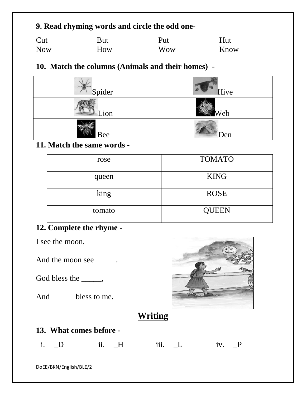## **9. Read rhyming words and circle the odd one-**

| Cut        | But | Put        | Hut  |
|------------|-----|------------|------|
| <b>Now</b> | How | <b>Wow</b> | Know |

### **10. Match the columns (Animals and their homes) -**

| Spider | Hive |
|--------|------|
| ion    | Web  |
| Bee    | Den  |

#### **11. Match the same words -**

| rose   | <b>TOMATO</b> |
|--------|---------------|
| queen  | <b>KING</b>   |
| king   | <b>ROSE</b>   |
| tomato | <b>QUEEN</b>  |

# **12. Complete the rhyme -**

I see the moon,

And the moon see \_\_\_\_\_.

God bless the \_\_\_\_,

And \_\_\_\_\_ bless to me.



# **Writing**

## **13. What comes before -**

|  | i. D | $ii.$ H | $\sim$ 111 $\sim$ 1 | $iv.$ P |
|--|------|---------|---------------------|---------|
|--|------|---------|---------------------|---------|

DoEE/BKN/English/BLE/2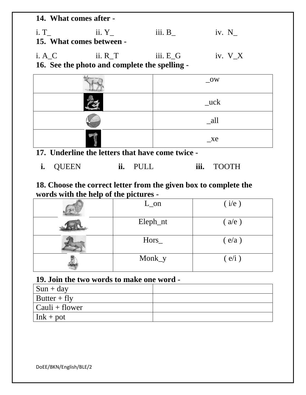**14. What comes after**  i. T $\qquad$  ii. Y $\qquad$  iii. B $\qquad$  iv. N **15. What comes between**  i. A\_C ii. R\_T iii. E\_G iv.  $V_X$ 

**16. See the photo and complete the spelling -**

| $-0W$          |
|----------------|
| $\mathsf{uck}$ |
| $a$ ll         |
| $_{\rm x}$     |

- **17. Underline the letters that have come twice** 
	- **i.** QUEEN **ii.** PULL **iii.** TOOTH

### **18. Choose the correct letter from the given box to complete the words with the help of the pictures -**

| $L_{on}$ | (i/e) |
|----------|-------|
| Eleph_nt | (a/e) |
| $Hors_$  | (e/a) |
| Monk_y   | (e/i) |

#### **19. Join the two words to make one word -**

| $\vert$ Sun + day      |  |
|------------------------|--|
| $\vert$ Butter + fly   |  |
| $\vert$ Cauli + flower |  |
| $\ln k + \text{pot}$   |  |